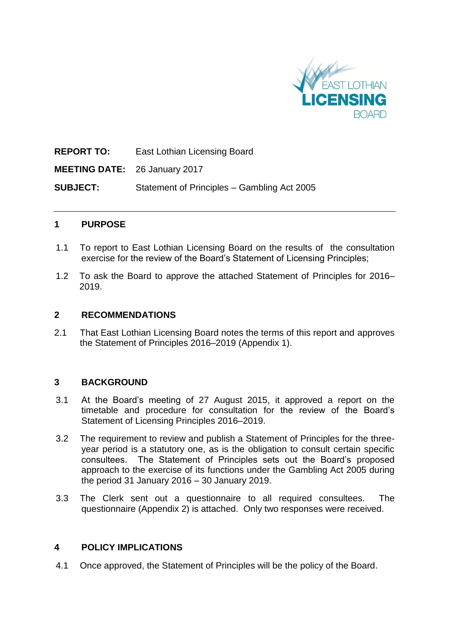

**REPORT TO:** East Lothian Licensing Board **MEETING DATE:** 26 January 2017 **SUBJECT:** Statement of Principles – Gambling Act 2005

## **1 PURPOSE**

- 1.1 To report to East Lothian Licensing Board on the results of the consultation exercise for the review of the Board's Statement of Licensing Principles;
- 1.2 To ask the Board to approve the attached Statement of Principles for 2016– 2019.

#### **2 RECOMMENDATIONS**

2.1 That East Lothian Licensing Board notes the terms of this report and approves the Statement of Principles 2016–2019 (Appendix 1).

#### **3 BACKGROUND**

- 3.1 At the Board's meeting of 27 August 2015, it approved a report on the timetable and procedure for consultation for the review of the Board's Statement of Licensing Principles 2016–2019.
- 3.2 The requirement to review and publish a Statement of Principles for the threeyear period is a statutory one, as is the obligation to consult certain specific consultees. The Statement of Principles sets out the Board's proposed approach to the exercise of its functions under the Gambling Act 2005 during the period 31 January 2016 – 30 January 2019.
- 3.3 The Clerk sent out a questionnaire to all required consultees. The questionnaire (Appendix 2) is attached. Only two responses were received.

#### **4 POLICY IMPLICATIONS**

4.1 Once approved, the Statement of Principles will be the policy of the Board.